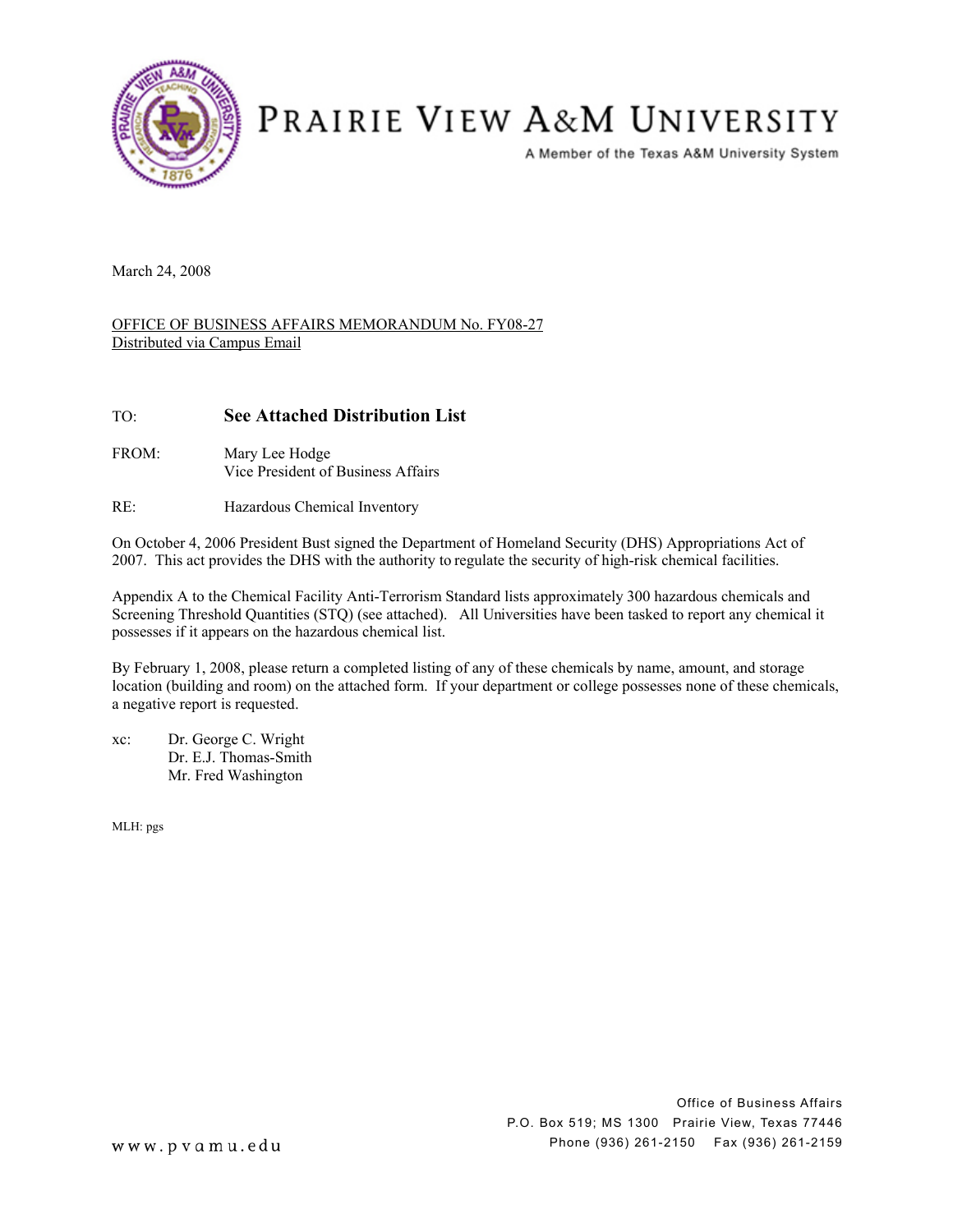

# PRAIRIE VIEW A&M UNIVERSITY

A Member of the Texas A&M University System

March 24, 2008

#### OFFICE OF BUSINESS AFFAIRS MEMORANDUM No. FY08-27 Distributed via Campus Email

### TO: **See Attached Distribution List**

- FROM: Mary Lee Hodge Vice President of Business Affairs
- RE: Hazardous Chemical Inventory

On October 4, 2006 President Bust signed the Department of Homeland Security (DHS) Appropriations Act of 2007. This act provides the DHS with the authority to regulate the security of high-risk chemical facilities.

Appendix A to the Chemical Facility Anti-Terrorism Standard lists approximately 300 hazardous chemicals and Screening Threshold Quantities (STQ) (see attached). All Universities have been tasked to report any chemical it possesses if it appears on the hazardous chemical list.

By February 1, 2008, please return a completed listing of any of these chemicals by name, amount, and storage location (building and room) on the attached form. If your department or college possesses none of these chemicals, a negative report is requested.

xc: Dr. George C. Wright Dr. E.J. Thomas-Smith Mr. Fred Washington

MLH: pgs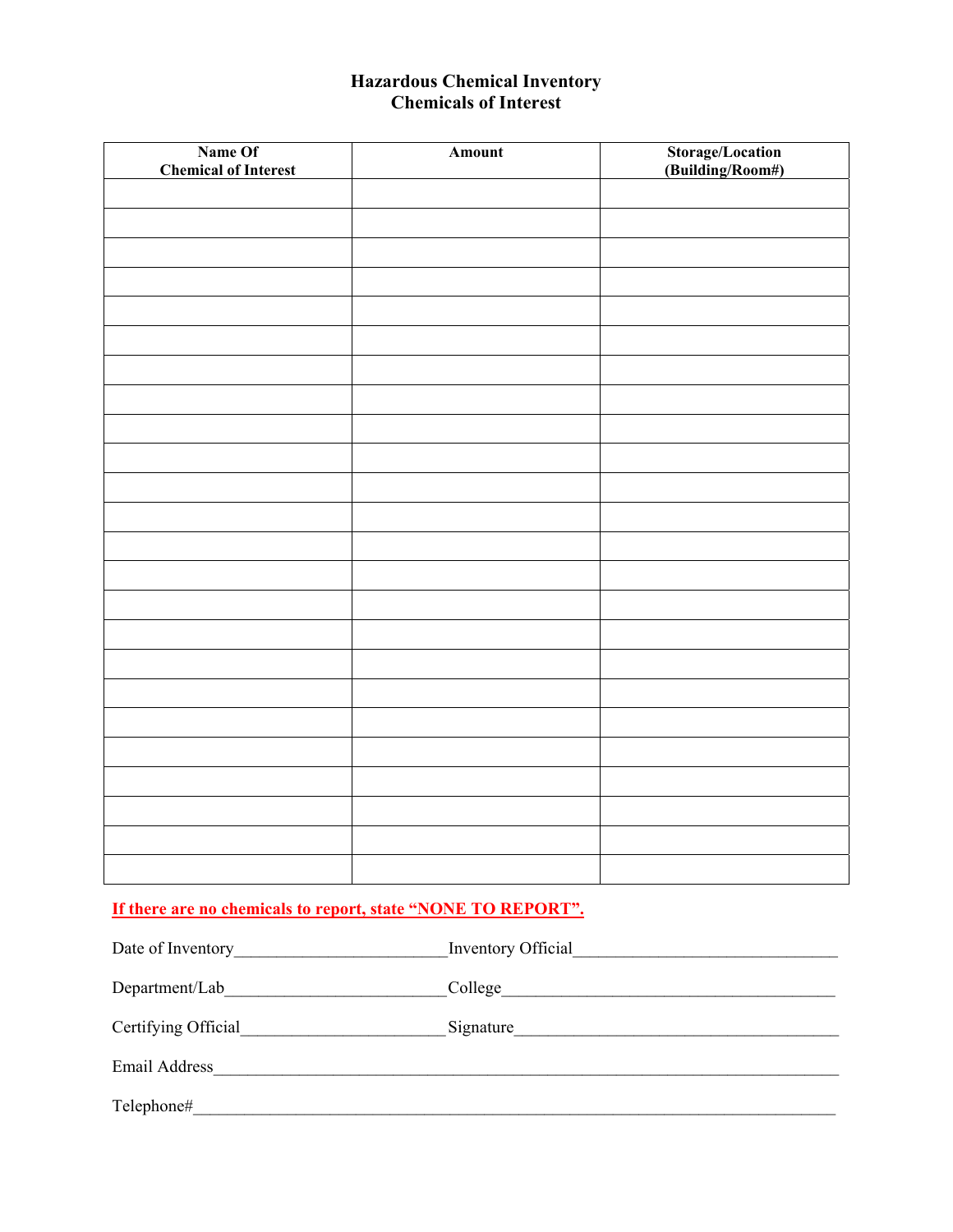# **Hazardous Chemical Inventory Chemicals of Interest**

| Name Of<br><b>Chemical of Interest</b> | <b>Amount</b> | Storage/Location<br>(Building/Room#) |
|----------------------------------------|---------------|--------------------------------------|
|                                        |               |                                      |
|                                        |               |                                      |
|                                        |               |                                      |
|                                        |               |                                      |
|                                        |               |                                      |
|                                        |               |                                      |
|                                        |               |                                      |
|                                        |               |                                      |
|                                        |               |                                      |
|                                        |               |                                      |
|                                        |               |                                      |
|                                        |               |                                      |
|                                        |               |                                      |
|                                        |               |                                      |
|                                        |               |                                      |
|                                        |               |                                      |
|                                        |               |                                      |
|                                        |               |                                      |
|                                        |               |                                      |
|                                        |               |                                      |
|                                        |               |                                      |
|                                        |               |                                      |
|                                        |               |                                      |
|                                        |               |                                      |

# **If there are no chemicals to report, state "NONE TO REPORT".**

| Date of Inventory   | Inventory Official |
|---------------------|--------------------|
| Department/Lab      | College            |
| Certifying Official | Signature          |
| Email Address       |                    |
| Telephone#          |                    |